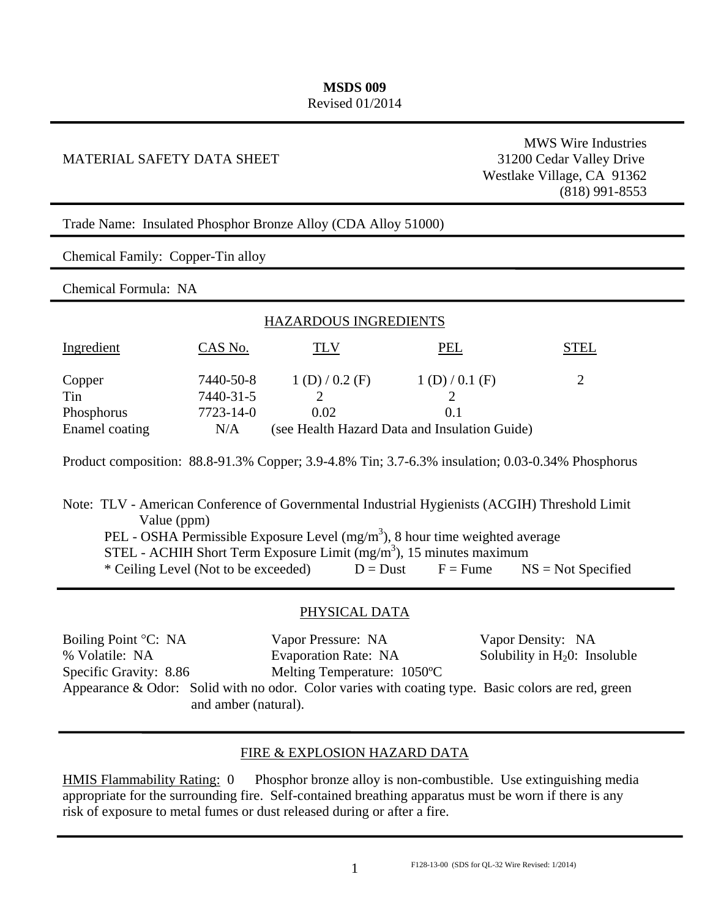#### **MSDS 009**  Revised 01/2014

#### MATERIAL SAFETY DATA SHEET 31200 Cedar Valley Drive

MWS Wire Industries Westlake Village, CA 91362 (818) 991-8553

Trade Name: Insulated Phosphor Bronze Alloy (CDA Alloy 51000)

Chemical Family: Copper-Tin alloy

Chemical Formula: NA

| <b>HAZARDOUS INGREDIENTS</b> |           |                                               |             |             |  |  |  |
|------------------------------|-----------|-----------------------------------------------|-------------|-------------|--|--|--|
| Ingredient                   | CAS No.   | TLV.                                          | PEL         | <b>STEL</b> |  |  |  |
| Copper                       | 7440-50-8 | 1(D)/0.2(F)                                   | 1(D)/0.1(F) |             |  |  |  |
| Tin                          | 7440-31-5 |                                               |             |             |  |  |  |
| Phosphorus                   | 7723-14-0 | 0.02                                          | 0.1         |             |  |  |  |
| Enamel coating               | N/A       | (see Health Hazard Data and Insulation Guide) |             |             |  |  |  |

Product composition: 88.8-91.3% Copper; 3.9-4.8% Tin; 3.7-6.3% insulation; 0.03-0.34% Phosphorus

Note: TLV - American Conference of Governmental Industrial Hygienists (ACGIH) Threshold Limit Value (ppm) PEL - OSHA Permissible Exposure Level  $(mg/m<sup>3</sup>)$ , 8 hour time weighted average STEL - ACHIH Short Term Exposure Limit  $(mg/m<sup>3</sup>)$ , 15 minutes maximum \* Ceiling Level (Not to be exceeded)  $D = \text{Dust}$   $F = \text{Fume}$   $NS = \text{Not}$  Specified

#### PHYSICAL DATA

| Boiling Point °C: NA   | Vapor Pressure: NA                                                                                 | Vapor Density: NA                |
|------------------------|----------------------------------------------------------------------------------------------------|----------------------------------|
| % Volatile: NA         | <b>Evaporation Rate: NA</b>                                                                        | Solubility in $H_20$ : Insoluble |
| Specific Gravity: 8.86 | Melting Temperature: 1050°C                                                                        |                                  |
|                        | Appearance & Odor: Solid with no odor. Color varies with coating type. Basic colors are red, green |                                  |
| and amber (natural).   |                                                                                                    |                                  |

#### FIRE & EXPLOSION HAZARD DATA

HMIS Flammability Rating: 0 Phosphor bronze alloy is non-combustible. Use extinguishing media appropriate for the surrounding fire. Self-contained breathing apparatus must be worn if there is any risk of exposure to metal fumes or dust released during or after a fire.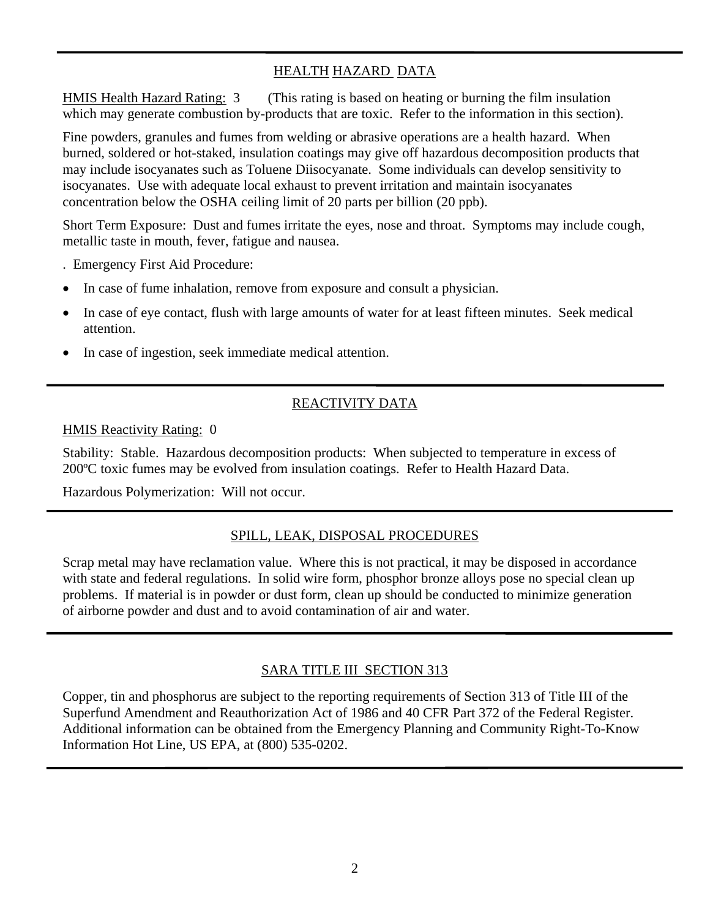## HEALTH HAZARD DATA

HMIS Health Hazard Rating: 3 (This rating is based on heating or burning the film insulation which may generate combustion by-products that are toxic. Refer to the information in this section).

Fine powders, granules and fumes from welding or abrasive operations are a health hazard. When burned, soldered or hot-staked, insulation coatings may give off hazardous decomposition products that may include isocyanates such as Toluene Diisocyanate. Some individuals can develop sensitivity to isocyanates. Use with adequate local exhaust to prevent irritation and maintain isocyanates concentration below the OSHA ceiling limit of 20 parts per billion (20 ppb).

Short Term Exposure: Dust and fumes irritate the eyes, nose and throat. Symptoms may include cough, metallic taste in mouth, fever, fatigue and nausea.

. Emergency First Aid Procedure:

- In case of fume inhalation, remove from exposure and consult a physician.
- In case of eye contact, flush with large amounts of water for at least fifteen minutes. Seek medical attention.
- In case of ingestion, seek immediate medical attention.

## REACTIVITY DATA

HMIS Reactivity Rating: 0

Stability: Stable. Hazardous decomposition products: When subjected to temperature in excess of 200ºC toxic fumes may be evolved from insulation coatings. Refer to Health Hazard Data.

Hazardous Polymerization: Will not occur.

#### SPILL, LEAK, DISPOSAL PROCEDURES

Scrap metal may have reclamation value. Where this is not practical, it may be disposed in accordance with state and federal regulations. In solid wire form, phosphor bronze alloys pose no special clean up problems. If material is in powder or dust form, clean up should be conducted to minimize generation of airborne powder and dust and to avoid contamination of air and water.

#### SARA TITLE III SECTION 313

Copper, tin and phosphorus are subject to the reporting requirements of Section 313 of Title III of the Superfund Amendment and Reauthorization Act of 1986 and 40 CFR Part 372 of the Federal Register. Additional information can be obtained from the Emergency Planning and Community Right-To-Know Information Hot Line, US EPA, at (800) 535-0202.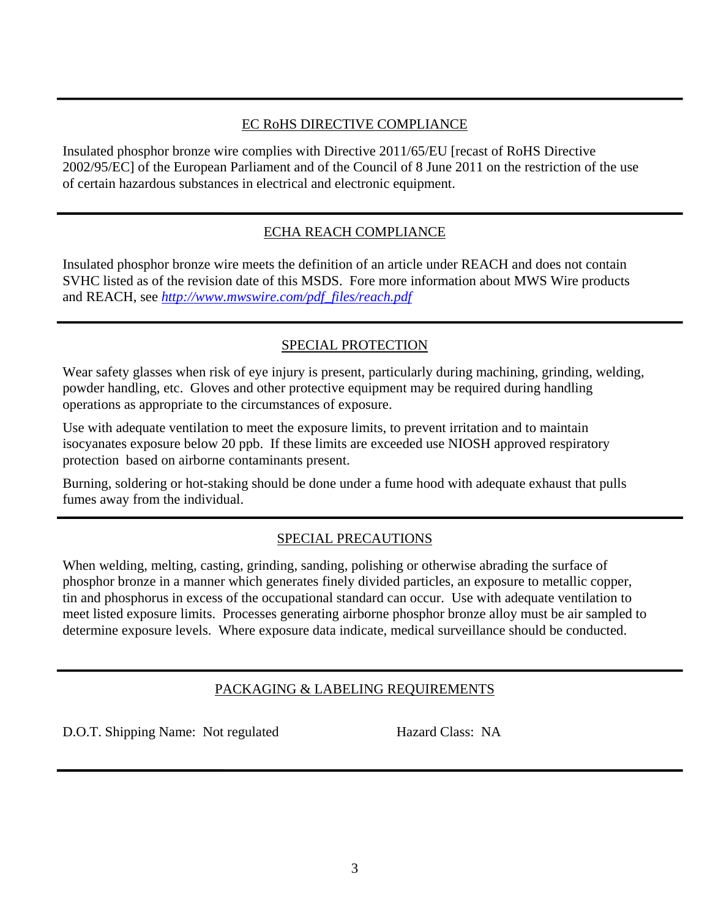## EC RoHS DIRECTIVE COMPLIANCE

Insulated phosphor bronze wire complies with Directive 2011/65/EU [recast of RoHS Directive 2002/95/EC] of the European Parliament and of the Council of 8 June 2011 on the restriction of the use of certain hazardous substances in electrical and electronic equipment.

# ECHA REACH COMPLIANCE

Insulated phosphor bronze wire meets the definition of an article under REACH and does not contain SVHC listed as of the revision date of this MSDS. Fore more information about MWS Wire products and REACH, see *http://www.mwswire.com/pdf\_files/reach.pdf*

# SPECIAL PROTECTION

Wear safety glasses when risk of eye injury is present, particularly during machining, grinding, welding, powder handling, etc. Gloves and other protective equipment may be required during handling operations as appropriate to the circumstances of exposure.

Use with adequate ventilation to meet the exposure limits, to prevent irritation and to maintain isocyanates exposure below 20 ppb. If these limits are exceeded use NIOSH approved respiratory protection based on airborne contaminants present.

Burning, soldering or hot-staking should be done under a fume hood with adequate exhaust that pulls fumes away from the individual.

# SPECIAL PRECAUTIONS

When welding, melting, casting, grinding, sanding, polishing or otherwise abrading the surface of phosphor bronze in a manner which generates finely divided particles, an exposure to metallic copper, tin and phosphorus in excess of the occupational standard can occur. Use with adequate ventilation to meet listed exposure limits. Processes generating airborne phosphor bronze alloy must be air sampled to determine exposure levels. Where exposure data indicate, medical surveillance should be conducted.

# PACKAGING & LABELING REQUIREMENTS

D.O.T. Shipping Name: Not regulated Hazard Class: NA